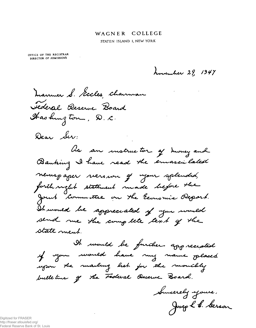## WAGNER COLLEGE

STATEN ISLAND 1, NEW YORK

OFFICE OF THE REGISTRAR DIRECTOR OF ADMISSIONS

howenher 29, 1947

 $\mathcal{L}(\mathcal{L}^{\text{max}})$  .

manuer S. Secles channau Jederal Reserve Board Hashington, D.C.

Dear Ser:

lis an instructor of honey and Banking I have read the emascilated neuropaper nerourn gé nyour splended, forth right statement made before the Joint Committee on the Economic Report. It would be appreciated of your would send me the complete text of the state ment.

It would be further appreciated y you would have my name placed upon the mailing list for the monitoly bulletur of the Federal Deserve Board.

Succeedy yours. Joseph & Serson